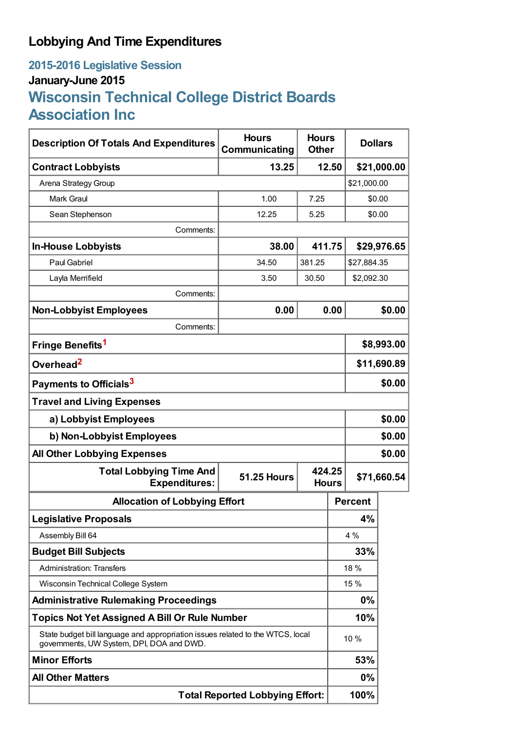## **Lobbying And Time Expenditures**

## **2015-2016 Legislative Session January-June 2015 Wisconsin Technical College District Boards Association Inc**

| <b>Description Of Totals And Expenditures</b>                                                                               | <b>Hours</b><br>Communicating | <b>Hours</b><br><b>Dollars</b><br><b>Other</b> |                |             |  |
|-----------------------------------------------------------------------------------------------------------------------------|-------------------------------|------------------------------------------------|----------------|-------------|--|
| <b>Contract Lobbyists</b>                                                                                                   | 13.25<br>12.50                |                                                |                | \$21,000.00 |  |
| Arena Strategy Group                                                                                                        |                               |                                                | \$21,000.00    |             |  |
| <b>Mark Graul</b>                                                                                                           | 1.00                          | 7.25                                           |                | \$0.00      |  |
| Sean Stephenson                                                                                                             | 12.25                         | 5.25                                           |                | \$0.00      |  |
| Comments:                                                                                                                   |                               |                                                |                |             |  |
| <b>In-House Lobbyists</b>                                                                                                   | 38.00                         | 411.75                                         |                | \$29,976.65 |  |
| <b>Paul Gabriel</b>                                                                                                         | 34.50                         | 381.25                                         |                | \$27,884.35 |  |
| Layla Merrifield                                                                                                            | 3.50                          | 30.50                                          | \$2,092.30     |             |  |
| Comments:                                                                                                                   |                               |                                                |                |             |  |
| <b>Non-Lobbyist Employees</b>                                                                                               | 0.00                          | 0.00                                           |                | \$0.00      |  |
| Comments:                                                                                                                   |                               |                                                |                |             |  |
| Fringe Benefits <sup>1</sup>                                                                                                |                               |                                                | \$8,993.00     |             |  |
| Overhead <sup>2</sup>                                                                                                       |                               |                                                | \$11,690.89    |             |  |
| Payments to Officials <sup>3</sup>                                                                                          |                               |                                                | \$0.00         |             |  |
| <b>Travel and Living Expenses</b>                                                                                           |                               |                                                |                |             |  |
| a) Lobbyist Employees                                                                                                       |                               |                                                | \$0.00         |             |  |
| b) Non-Lobbyist Employees                                                                                                   |                               |                                                | \$0.00         |             |  |
| <b>All Other Lobbying Expenses</b>                                                                                          |                               |                                                |                | \$0.00      |  |
| <b>Total Lobbying Time And</b><br><b>Expenditures:</b>                                                                      | <b>51.25 Hours</b>            | 424.25<br><b>Hours</b>                         |                | \$71,660.54 |  |
| <b>Allocation of Lobbying Effort</b>                                                                                        |                               |                                                | <b>Percent</b> |             |  |
| <b>Legislative Proposals</b>                                                                                                |                               |                                                | 4%             |             |  |
| Assembly Bill 64                                                                                                            |                               |                                                | 4 %            |             |  |
| <b>Budget Bill Subjects</b>                                                                                                 |                               |                                                | 33%            |             |  |
| <b>Administration: Transfers</b>                                                                                            |                               |                                                | 18 %           |             |  |
| Wisconsin Technical College System                                                                                          |                               |                                                | 15 %           |             |  |
| <b>Administrative Rulemaking Proceedings</b>                                                                                |                               |                                                | 0%             |             |  |
| <b>Topics Not Yet Assigned A Bill Or Rule Number</b>                                                                        |                               |                                                | 10%            |             |  |
| State budget bill language and appropriation issues related to the WTCS, local<br>governments, UW System, DPI, DOA and DWD. |                               |                                                | 10 %           |             |  |
| <b>Minor Efforts</b>                                                                                                        |                               |                                                | 53%            |             |  |
| <b>All Other Matters</b>                                                                                                    |                               |                                                | $0\%$          |             |  |
| <b>Total Reported Lobbying Effort:</b>                                                                                      |                               |                                                | 100%           |             |  |